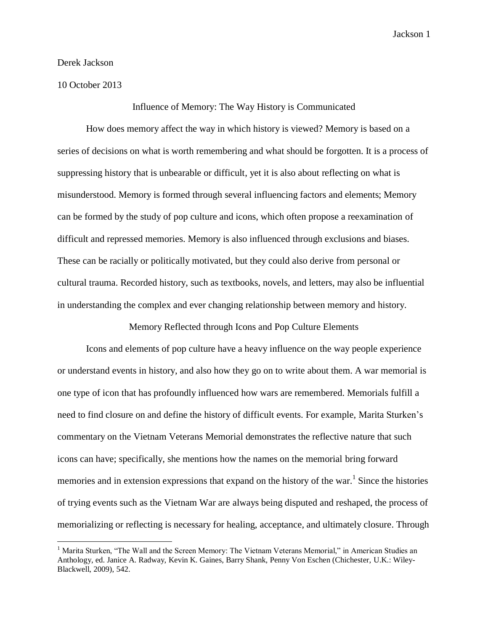Derek Jackson

10 October 2013

 $\overline{a}$ 

Influence of Memory: The Way History is Communicated

How does memory affect the way in which history is viewed? Memory is based on a series of decisions on what is worth remembering and what should be forgotten. It is a process of suppressing history that is unbearable or difficult, yet it is also about reflecting on what is misunderstood. Memory is formed through several influencing factors and elements; Memory can be formed by the study of pop culture and icons, which often propose a reexamination of difficult and repressed memories. Memory is also influenced through exclusions and biases. These can be racially or politically motivated, but they could also derive from personal or cultural trauma. Recorded history, such as textbooks, novels, and letters, may also be influential in understanding the complex and ever changing relationship between memory and history.

Memory Reflected through Icons and Pop Culture Elements

Icons and elements of pop culture have a heavy influence on the way people experience or understand events in history, and also how they go on to write about them. A war memorial is one type of icon that has profoundly influenced how wars are remembered. Memorials fulfill a need to find closure on and define the history of difficult events. For example, Marita Sturken's commentary on the Vietnam Veterans Memorial demonstrates the reflective nature that such icons can have; specifically, she mentions how the names on the memorial bring forward memories and in extension expressions that expand on the history of the war.<sup>1</sup> Since the histories of trying events such as the Vietnam War are always being disputed and reshaped, the process of memorializing or reflecting is necessary for healing, acceptance, and ultimately closure. Through

<sup>&</sup>lt;sup>1</sup> Marita Sturken, "The Wall and the Screen Memory: The Vietnam Veterans Memorial," in American Studies an Anthology, ed. Janice A. Radway, Kevin K. Gaines, Barry Shank, Penny Von Eschen (Chichester, U.K.: Wiley-Blackwell, 2009), 542.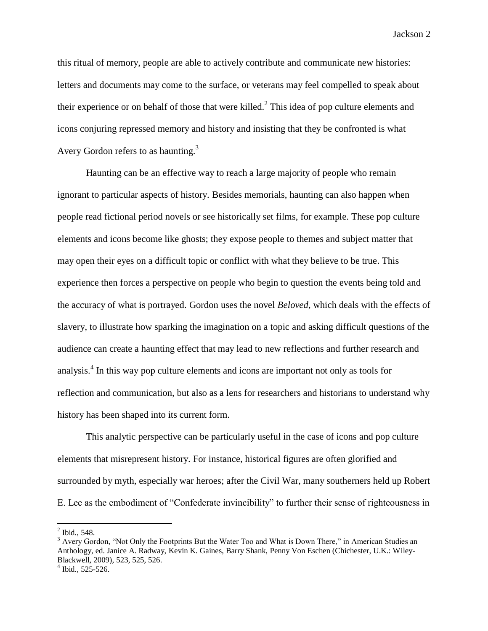this ritual of memory, people are able to actively contribute and communicate new histories: letters and documents may come to the surface, or veterans may feel compelled to speak about their experience or on behalf of those that were killed.<sup>2</sup> This idea of pop culture elements and icons conjuring repressed memory and history and insisting that they be confronted is what Avery Gordon refers to as haunting.<sup>3</sup>

Haunting can be an effective way to reach a large majority of people who remain ignorant to particular aspects of history. Besides memorials, haunting can also happen when people read fictional period novels or see historically set films, for example. These pop culture elements and icons become like ghosts; they expose people to themes and subject matter that may open their eyes on a difficult topic or conflict with what they believe to be true. This experience then forces a perspective on people who begin to question the events being told and the accuracy of what is portrayed. Gordon uses the novel *Beloved*, which deals with the effects of slavery, to illustrate how sparking the imagination on a topic and asking difficult questions of the audience can create a haunting effect that may lead to new reflections and further research and analysis.<sup>4</sup> In this way pop culture elements and icons are important not only as tools for reflection and communication, but also as a lens for researchers and historians to understand why history has been shaped into its current form.

This analytic perspective can be particularly useful in the case of icons and pop culture elements that misrepresent history. For instance, historical figures are often glorified and surrounded by myth, especially war heroes; after the Civil War, many southerners held up Robert E. Lee as the embodiment of "Confederate invincibility" to further their sense of righteousness in

 $2$  Ibid., 548.

 $3$  Avery Gordon, "Not Only the Footprints But the Water Too and What is Down There," in American Studies an Anthology, ed. Janice A. Radway, Kevin K. Gaines, Barry Shank, Penny Von Eschen (Chichester, U.K.: Wiley-Blackwell, 2009), 523, 525, 526.

<sup>4</sup> Ibid., 525-526.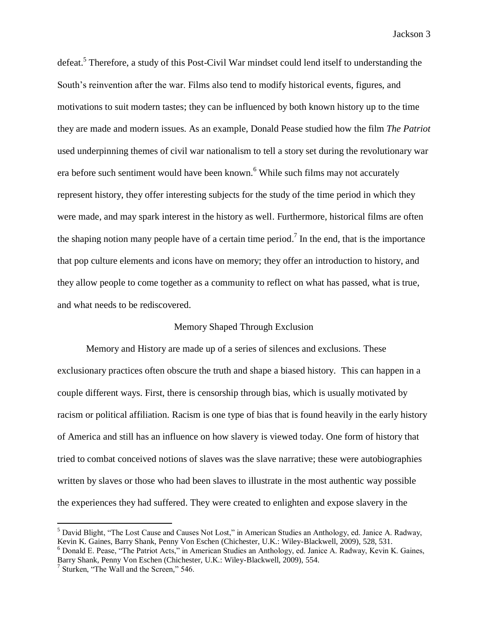defeat.<sup>5</sup> Therefore, a study of this Post-Civil War mindset could lend itself to understanding the South's reinvention after the war. Films also tend to modify historical events, figures, and motivations to suit modern tastes; they can be influenced by both known history up to the time they are made and modern issues. As an example, Donald Pease studied how the film *The Patriot* used underpinning themes of civil war nationalism to tell a story set during the revolutionary war era before such sentiment would have been known.<sup>6</sup> While such films may not accurately represent history, they offer interesting subjects for the study of the time period in which they were made, and may spark interest in the history as well. Furthermore, historical films are often the shaping notion many people have of a certain time period.<sup>7</sup> In the end, that is the importance that pop culture elements and icons have on memory; they offer an introduction to history, and they allow people to come together as a community to reflect on what has passed, what is true, and what needs to be rediscovered.

## Memory Shaped Through Exclusion

Memory and History are made up of a series of silences and exclusions. These exclusionary practices often obscure the truth and shape a biased history. This can happen in a couple different ways. First, there is censorship through bias, which is usually motivated by racism or political affiliation. Racism is one type of bias that is found heavily in the early history of America and still has an influence on how slavery is viewed today. One form of history that tried to combat conceived notions of slaves was the slave narrative; these were autobiographies written by slaves or those who had been slaves to illustrate in the most authentic way possible the experiences they had suffered. They were created to enlighten and expose slavery in the

<sup>5</sup> David Blight, "The Lost Cause and Causes Not Lost," in American Studies an Anthology, ed. Janice A. Radway, Kevin K. Gaines, Barry Shank, Penny Von Eschen (Chichester, U.K.: Wiley-Blackwell, 2009), 528, 531.

<sup>&</sup>lt;sup>6</sup> Donald E. Pease, "The Patriot Acts," in American Studies an Anthology, ed. Janice A. Radway, Kevin K. Gaines, Barry Shank, Penny Von Eschen (Chichester, U.K.: Wiley-Blackwell, 2009), 554.

<sup>&</sup>lt;sup>7</sup> Sturken, "The Wall and the Screen," 546.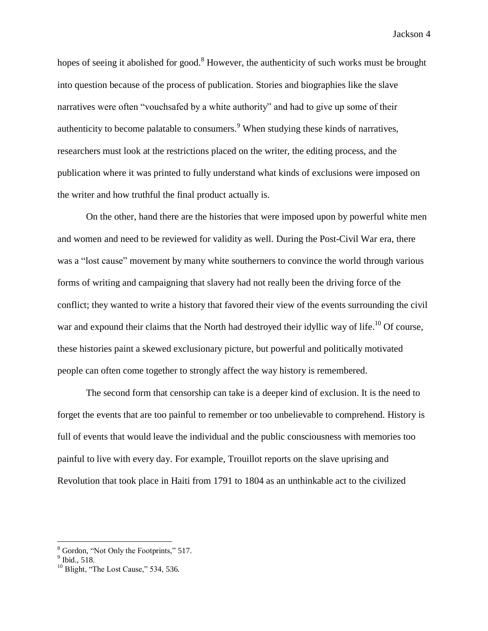hopes of seeing it abolished for good.<sup>8</sup> However, the authenticity of such works must be brought into question because of the process of publication. Stories and biographies like the slave narratives were often "vouchsafed by a white authority" and had to give up some of their authenticity to become palatable to consumers.<sup>9</sup> When studying these kinds of narratives, researchers must look at the restrictions placed on the writer, the editing process, and the publication where it was printed to fully understand what kinds of exclusions were imposed on the writer and how truthful the final product actually is.

On the other, hand there are the histories that were imposed upon by powerful white men and women and need to be reviewed for validity as well. During the Post-Civil War era, there was a "lost cause" movement by many white southerners to convince the world through various forms of writing and campaigning that slavery had not really been the driving force of the conflict; they wanted to write a history that favored their view of the events surrounding the civil war and expound their claims that the North had destroyed their idyllic way of life.<sup>10</sup> Of course, these histories paint a skewed exclusionary picture, but powerful and politically motivated people can often come together to strongly affect the way history is remembered.

The second form that censorship can take is a deeper kind of exclusion. It is the need to forget the events that are too painful to remember or too unbelievable to comprehend. History is full of events that would leave the individual and the public consciousness with memories too painful to live with every day. For example, Trouillot reports on the slave uprising and Revolution that took place in Haiti from 1791 to 1804 as an unthinkable act to the civilized

 $\frac{8}{9}$  Gordon, "Not Only the Footprints," 517.<br> $\frac{9}{9}$  Ibid., 518.

 $10$  Blight, "The Lost Cause," 534, 536.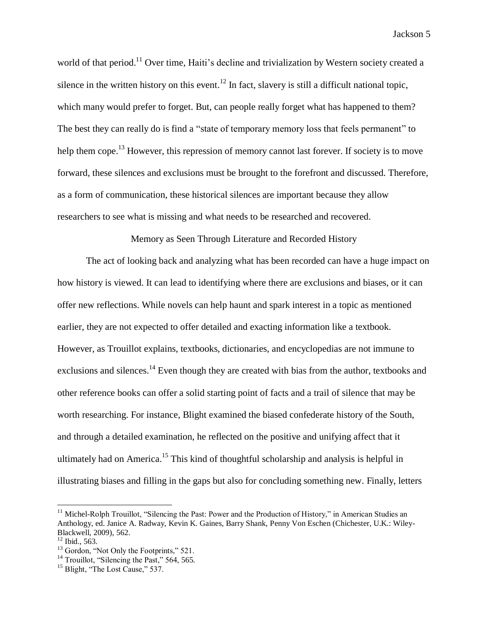world of that period.<sup>11</sup> Over time, Haiti's decline and trivialization by Western society created a silence in the written history on this event.<sup>12</sup> In fact, slavery is still a difficult national topic, which many would prefer to forget. But, can people really forget what has happened to them? The best they can really do is find a "state of temporary memory loss that feels permanent" to help them cope.<sup>13</sup> However, this repression of memory cannot last forever. If society is to move forward, these silences and exclusions must be brought to the forefront and discussed. Therefore, as a form of communication, these historical silences are important because they allow researchers to see what is missing and what needs to be researched and recovered.

Memory as Seen Through Literature and Recorded History

The act of looking back and analyzing what has been recorded can have a huge impact on how history is viewed. It can lead to identifying where there are exclusions and biases, or it can offer new reflections. While novels can help haunt and spark interest in a topic as mentioned earlier, they are not expected to offer detailed and exacting information like a textbook. However, as Trouillot explains, textbooks, dictionaries, and encyclopedias are not immune to exclusions and silences.<sup>14</sup> Even though they are created with bias from the author, textbooks and other reference books can offer a solid starting point of facts and a trail of silence that may be worth researching. For instance, Blight examined the biased confederate history of the South, and through a detailed examination, he reflected on the positive and unifying affect that it ultimately had on America.<sup>15</sup> This kind of thoughtful scholarship and analysis is helpful in illustrating biases and filling in the gaps but also for concluding something new. Finally, letters

<sup>&</sup>lt;sup>11</sup> Michel-Rolph Trouillot, "Silencing the Past: Power and the Production of History," in American Studies an Anthology, ed. Janice A. Radway, Kevin K. Gaines, Barry Shank, Penny Von Eschen (Chichester, U.K.: Wiley-Blackwell, 2009), 562.

 $12$  Ibid., 563.

<sup>&</sup>lt;sup>13</sup> Gordon, "Not Only the Footprints," 521.

<sup>&</sup>lt;sup>14</sup> Trouillot, "Silencing the Past," 564, 565.

<sup>&</sup>lt;sup>15</sup> Blight, "The Lost Cause," 537.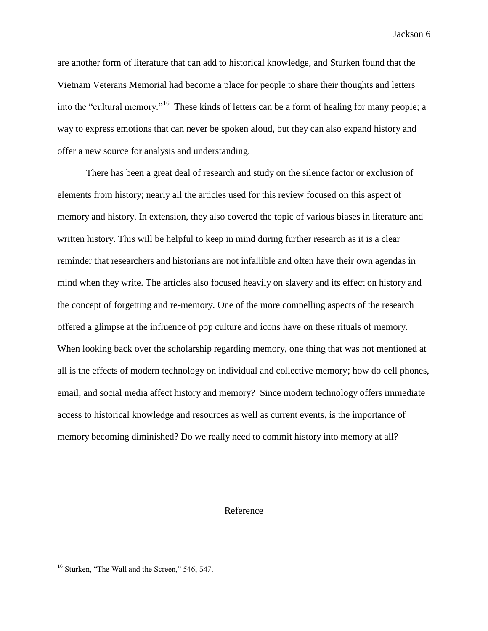are another form of literature that can add to historical knowledge, and Sturken found that the Vietnam Veterans Memorial had become a place for people to share their thoughts and letters into the "cultural memory."<sup>16</sup> These kinds of letters can be a form of healing for many people; a way to express emotions that can never be spoken aloud, but they can also expand history and offer a new source for analysis and understanding.

There has been a great deal of research and study on the silence factor or exclusion of elements from history; nearly all the articles used for this review focused on this aspect of memory and history. In extension, they also covered the topic of various biases in literature and written history. This will be helpful to keep in mind during further research as it is a clear reminder that researchers and historians are not infallible and often have their own agendas in mind when they write. The articles also focused heavily on slavery and its effect on history and the concept of forgetting and re-memory. One of the more compelling aspects of the research offered a glimpse at the influence of pop culture and icons have on these rituals of memory. When looking back over the scholarship regarding memory, one thing that was not mentioned at all is the effects of modern technology on individual and collective memory; how do cell phones, email, and social media affect history and memory? Since modern technology offers immediate access to historical knowledge and resources as well as current events, is the importance of memory becoming diminished? Do we really need to commit history into memory at all?

## Reference

<sup>&</sup>lt;sup>16</sup> Sturken, "The Wall and the Screen," 546, 547.